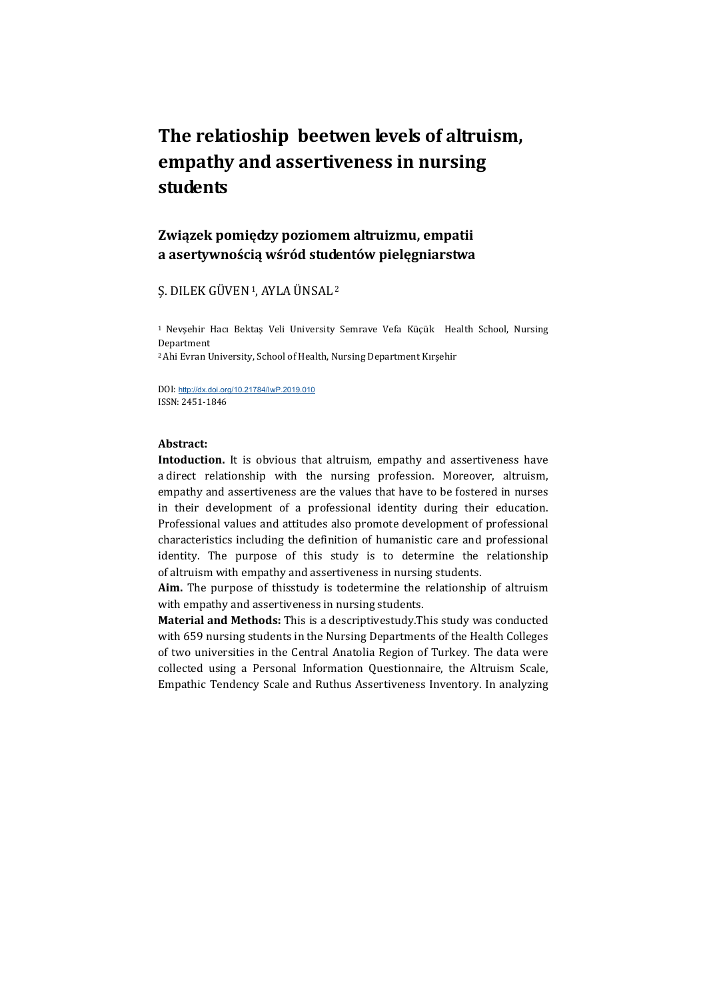# The relatioship beetwen levels of altruism, empathy and assertiveness in nursing students

## Związek pomiędzy poziomem altruizmu, empatii a asertywnością wśród studentów pielęgniarstwa

## Ş. DILEK GÜVEN 1, AYLA ÜNSAL<sup>2</sup>

<sup>1</sup>Nevşehir Hacı Bektaş Veli University Semrave Vefa Küçük Health School, Nursing Department

<sup>2</sup>Ahi Evran University, School of Health, Nursing Department Kırşehir

DOI: http://dx.doi.org/10.21784/IwP.2019.010 ISSN: 2451-1846

## Abstract:

Intoduction. It is obvious that altruism, empathy and assertiveness have a direct relationship with the nursing profession. Moreover, altruism, empathy and assertiveness are the values that have to be fostered in nurses in their development of a professional identity during their education. Professional values and attitudes also promote development of professional characteristics including the definition of humanistic care and professional identity. The purpose of this study is to determine the relationship of altruism with empathy and assertiveness in nursing students.

Aim. The purpose of thisstudy is todetermine the relationship of altruism with empathy and assertiveness in nursing students.

Material and Methods: This is a descriptivestudy.This study was conducted with 659 nursing students in the Nursing Departments of the Health Colleges of two universities in the Central Anatolia Region of Turkey. The data were collected using a Personal Information Questionnaire, the Altruism Scale, Empathic Tendency Scale and Ruthus Assertiveness Inventory. In analyzing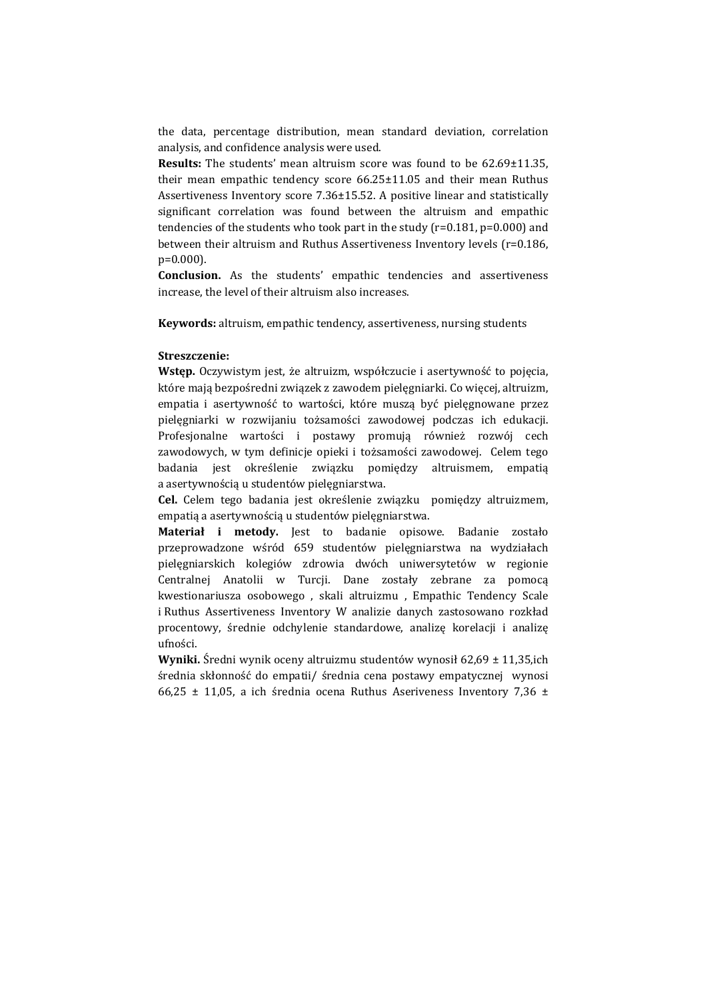the data, percentage distribution, mean standard deviation, correlation analysis, and confidence analysis were used.

Results: The students' mean altruism score was found to be 62.69±11.35, their mean empathic tendency score 66.25±11.05 and their mean Ruthus Assertiveness Inventory score 7.36±15.52. A positive linear and statistically significant correlation was found between the altruism and empathic tendencies of the students who took part in the study (r=0.181, p=0.000) and between their altruism and Ruthus Assertiveness Inventory levels (r=0.186, p=0.000).

Conclusion. As the students' empathic tendencies and assertiveness increase, the level of their altruism also increases.

Keywords: altruism, empathic tendency, assertiveness, nursing students

#### Streszczenie:

Wstęp. Oczywistym jest, że altruizm, współczucie i asertywność to pojęcia, które mają bezpośredni związek z zawodem pielęgniarki. Co więcej, altruizm, empatia i asertywność to wartości, które muszą być pielęgnowane przez pielęgniarki w rozwijaniu tożsamości zawodowej podczas ich edukacji. Profesjonalne wartości i postawy promują również rozwój cech zawodowych, w tym definicje opieki i tożsamości zawodowej. Celem tego badania jest określenie związku pomiędzy altruismem, empatią a asertywnością u studentów pielęgniarstwa.

Cel. Celem tego badania jest określenie związku pomiędzy altruizmem, empatią a asertywnością u studentów pielęgniarstwa.

Materiał i metody. Jest to badanie opisowe. Badanie zostało przeprowadzone wśród 659 studentów pielęgniarstwa na wydziałach pielęgniarskich kolegiów zdrowia dwóch uniwersytetów w regionie Centralnej Anatolii w Turcji. Dane zostały zebrane za pomocą kwestionariusza osobowego , skali altruizmu , Empathic Tendency Scale i Ruthus Assertiveness Inventory W analizie danych zastosowano rozkład procentowy, średnie odchylenie standardowe, analizę korelacji i analizę ufności.

Wyniki. Średni wynik oceny altruizmu studentów wynosił 62,69 ± 11,35,ich średnia skłonność do empatii/ średnia cena postawy empatycznej wynosi 66,25  $\pm$  11,05, a ich średnia ocena Ruthus Aseriveness Inventory 7,36  $\pm$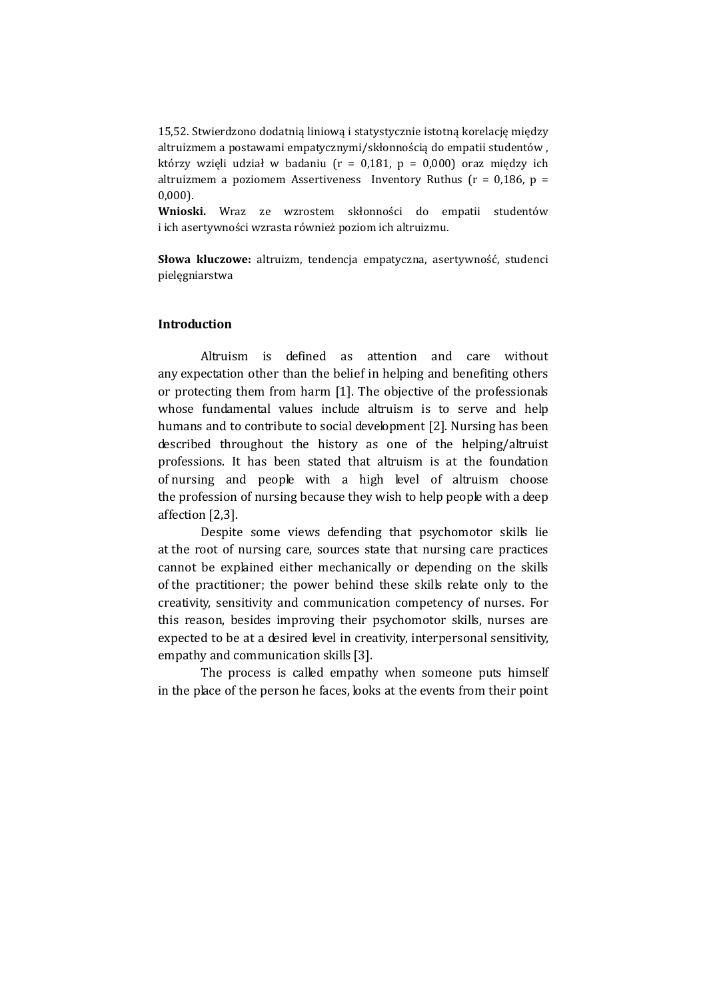15,52. Stwierdzono dodatnią liniową i statystycznie istotną korelację między altruizmem a postawami empatycznymi/skłonnością do empatii studentów , którzy wzięli udział w badaniu ( $r = 0.181$ ,  $p = 0.000$ ) oraz między ich altruizmem a poziomem Assertiveness Inventory Ruthus ( $r = 0.186$ ,  $p =$ 0,000).

Wnioski. Wraz ze wzrostem skłonności do empatii studentów i ich asertywności wzrasta również poziom ich altruizmu.

Słowa kluczowe: altruizm, tendencja empatyczna, asertywność, studenci pielęgniarstwa

## Introduction

Altruism is defined as attention and care without any expectation other than the belief in helping and benefiting others or protecting them from harm [1]. The objective of the professionals whose fundamental values include altruism is to serve and help humans and to contribute to social development [2]. Nursing has been described throughout the history as one of the helping/altruist professions. It has been stated that altruism is at the foundation of nursing and people with a high level of altruism choose the profession of nursing because they wish to help people with a deep affection [2,3].

Despite some views defending that psychomotor skills lie at the root of nursing care, sources state that nursing care practices cannot be explained either mechanically or depending on the skills of the practitioner; the power behind these skills relate only to the creativity, sensitivity and communication competency of nurses. For this reason, besides improving their psychomotor skills, nurses are expected to be at a desired level in creativity, interpersonal sensitivity, empathy and communication skills [3].

The process is called empathy when someone puts himself in the place of the person he faces, looks at the events from their point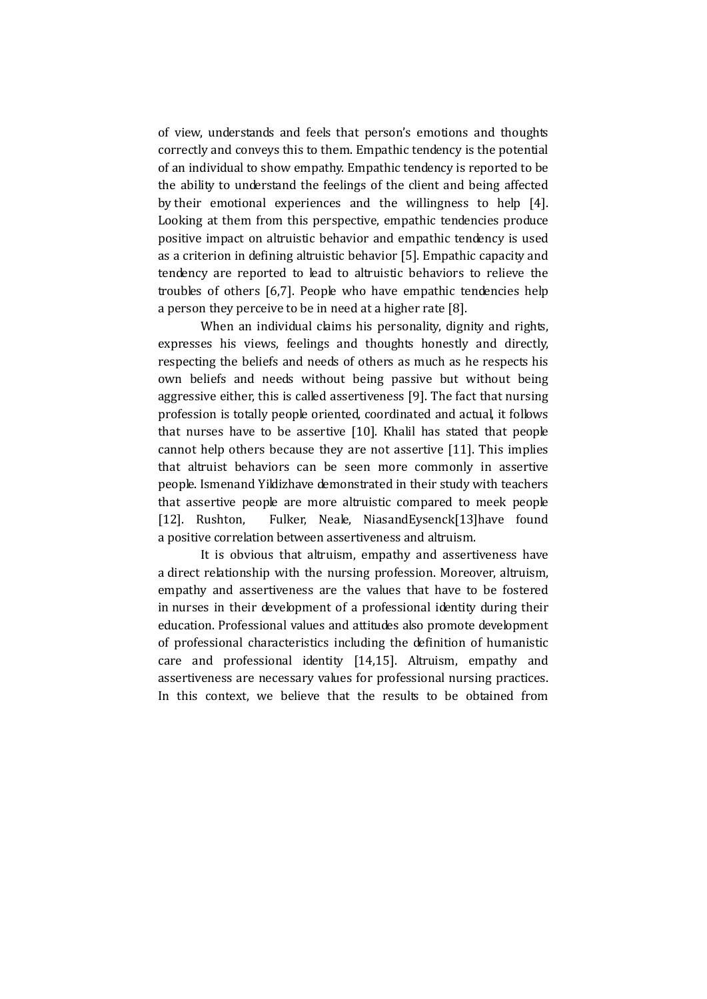of view, understands and feels that person's emotions and thoughts correctly and conveys this to them. Empathic tendency is the potential of an individual to show empathy. Empathic tendency is reported to be the ability to understand the feelings of the client and being affected by their emotional experiences and the willingness to help [4]. Looking at them from this perspective, empathic tendencies produce positive impact on altruistic behavior and empathic tendency is used as a criterion in defining altruistic behavior [5]. Empathic capacity and tendency are reported to lead to altruistic behaviors to relieve the troubles of others [6,7]. People who have empathic tendencies help a person they perceive to be in need at a higher rate [8].

When an individual claims his personality, dignity and rights, expresses his views, feelings and thoughts honestly and directly, respecting the beliefs and needs of others as much as he respects his own beliefs and needs without being passive but without being aggressive either, this is called assertiveness [9]. The fact that nursing profession is totally people oriented, coordinated and actual, it follows that nurses have to be assertive [10]. Khalil has stated that people cannot help others because they are not assertive [11]. This implies that altruist behaviors can be seen more commonly in assertive people. Ismenand Yildizhave demonstrated in their study with teachers that assertive people are more altruistic compared to meek people [12]. Rushton, Fulker, Neale, NiasandEysenck[13]have found a positive correlation between assertiveness and altruism.

It is obvious that altruism, empathy and assertiveness have a direct relationship with the nursing profession. Moreover, altruism, empathy and assertiveness are the values that have to be fostered in nurses in their development of a professional identity during their education. Professional values and attitudes also promote development of professional characteristics including the definition of humanistic care and professional identity [14,15]. Altruism, empathy and assertiveness are necessary values for professional nursing practices. In this context, we believe that the results to be obtained from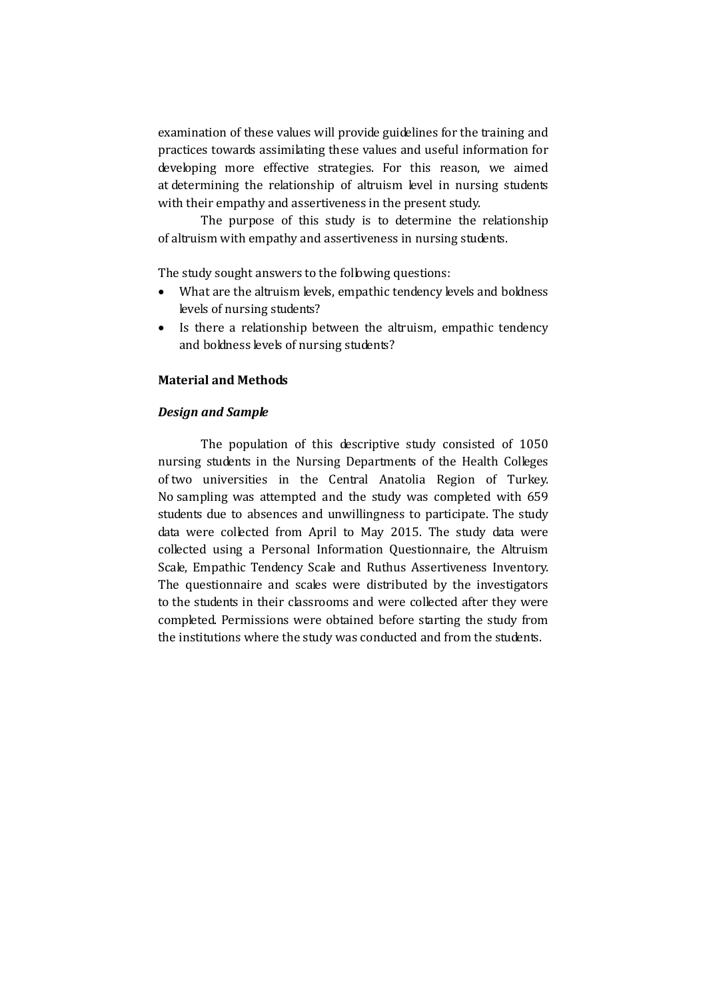examination of these values will provide guidelines for the training and practices towards assimilating these values and useful information for developing more effective strategies. For this reason, we aimed at determining the relationship of altruism level in nursing students with their empathy and assertiveness in the present study.

The purpose of this study is to determine the relationship of altruism with empathy and assertiveness in nursing students.

The study sought answers to the following questions:

- What are the altruism levels, empathic tendency levels and boldness levels of nursing students?
- Is there a relationship between the altruism, empathic tendency and boldness levels of nursing students?

#### Material and Methods

#### Design and Sample

The population of this descriptive study consisted of 1050 nursing students in the Nursing Departments of the Health Colleges of two universities in the Central Anatolia Region of Turkey. No sampling was attempted and the study was completed with 659 students due to absences and unwillingness to participate. The study data were collected from April to May 2015. The study data were collected using a Personal Information Questionnaire, the Altruism Scale, Empathic Tendency Scale and Ruthus Assertiveness Inventory. The questionnaire and scales were distributed by the investigators to the students in their classrooms and were collected after they were completed. Permissions were obtained before starting the study from the institutions where the study was conducted and from the students.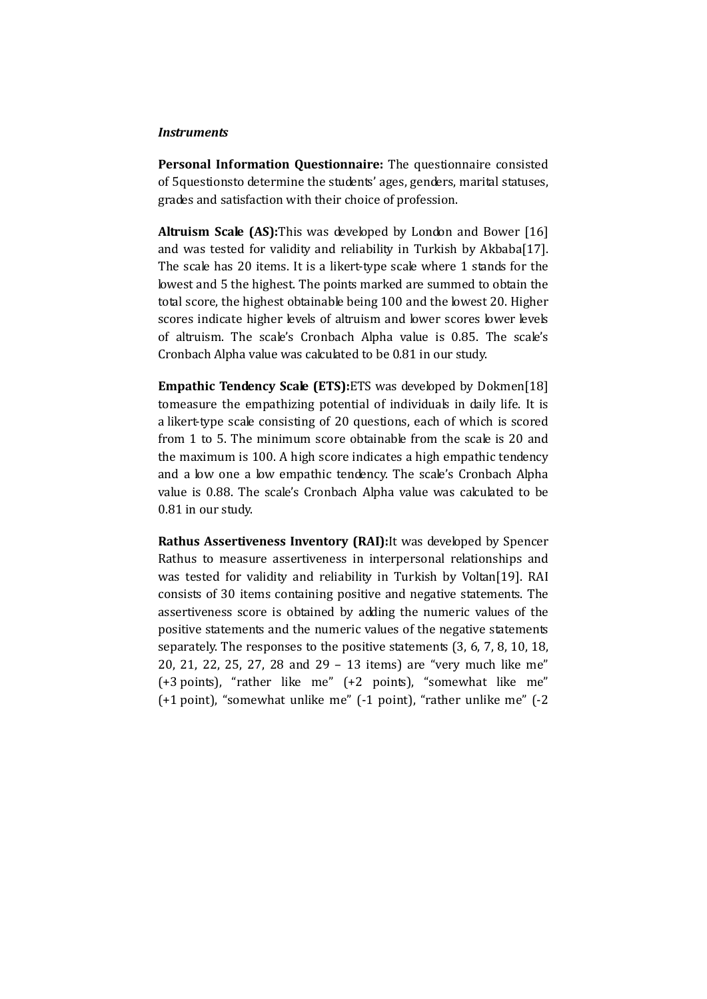#### **Instruments**

Personal Information Questionnaire: The questionnaire consisted of 5questionsto determine the students' ages, genders, marital statuses, grades and satisfaction with their choice of profession.

Altruism Scale (AS): This was developed by London and Bower [16] and was tested for validity and reliability in Turkish by Akbaba[17]. The scale has 20 items. It is a likert-type scale where 1 stands for the lowest and 5 the highest. The points marked are summed to obtain the total score, the highest obtainable being 100 and the lowest 20. Higher scores indicate higher levels of altruism and lower scores lower levels of altruism. The scale's Cronbach Alpha value is 0.85. The scale's Cronbach Alpha value was calculated to be 0.81 in our study.

Empathic Tendency Scale (ETS): ETS was developed by Dokmen[18] tomeasure the empathizing potential of individuals in daily life. It is a likert-type scale consisting of 20 questions, each of which is scored from 1 to 5. The minimum score obtainable from the scale is 20 and the maximum is 100. A high score indicates a high empathic tendency and a low one a low empathic tendency. The scale's Cronbach Alpha value is 0.88. The scale's Cronbach Alpha value was calculated to be 0.81 in our study.

Rathus Assertiveness Inventory (RAI):It was developed by Spencer Rathus to measure assertiveness in interpersonal relationships and was tested for validity and reliability in Turkish by Voltan[19]. RAI consists of 30 items containing positive and negative statements. The assertiveness score is obtained by adding the numeric values of the positive statements and the numeric values of the negative statements separately. The responses to the positive statements (3, 6, 7, 8, 10, 18, 20, 21, 22, 25, 27, 28 and 29 – 13 items) are "very much like me" (+3 points), "rather like me" (+2 points), "somewhat like me" (+1 point), "somewhat unlike me" (-1 point), "rather unlike me" (-2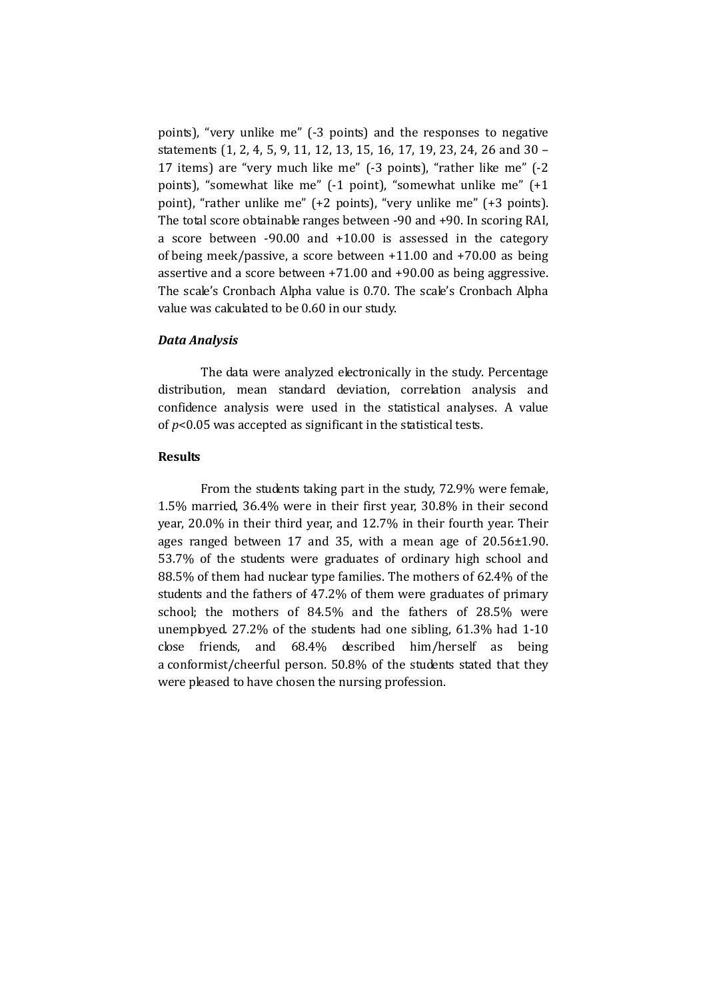points), "very unlike me" (-3 points) and the responses to negative statements (1, 2, 4, 5, 9, 11, 12, 13, 15, 16, 17, 19, 23, 24, 26 and 30 – 17 items) are "very much like me" (-3 points), "rather like me" (-2 points), "somewhat like me" (-1 point), "somewhat unlike me" (+1 point), "rather unlike me" (+2 points), "very unlike me" (+3 points). The total score obtainable ranges between -90 and +90. In scoring RAI, a score between -90.00 and +10.00 is assessed in the category of being meek/passive, a score between +11.00 and +70.00 as being assertive and a score between +71.00 and +90.00 as being aggressive. The scale's Cronbach Alpha value is 0.70. The scale's Cronbach Alpha value was calculated to be 0.60 in our study.

#### Data Analysis

The data were analyzed electronically in the study. Percentage distribution, mean standard deviation, correlation analysis and confidence analysis were used in the statistical analyses. A value of  $p<0.05$  was accepted as significant in the statistical tests.

## **Results**

From the students taking part in the study, 72.9% were female, 1.5% married, 36.4% were in their first year, 30.8% in their second year, 20.0% in their third year, and 12.7% in their fourth year. Their ages ranged between 17 and 35, with a mean age of 20.56±1.90. 53.7% of the students were graduates of ordinary high school and 88.5% of them had nuclear type families. The mothers of 62.4% of the students and the fathers of 47.2% of them were graduates of primary school; the mothers of 84.5% and the fathers of 28.5% were unemployed. 27.2% of the students had one sibling, 61.3% had 1-10 close friends, and 68.4% described him/herself as being a conformist/cheerful person. 50.8% of the students stated that they were pleased to have chosen the nursing profession.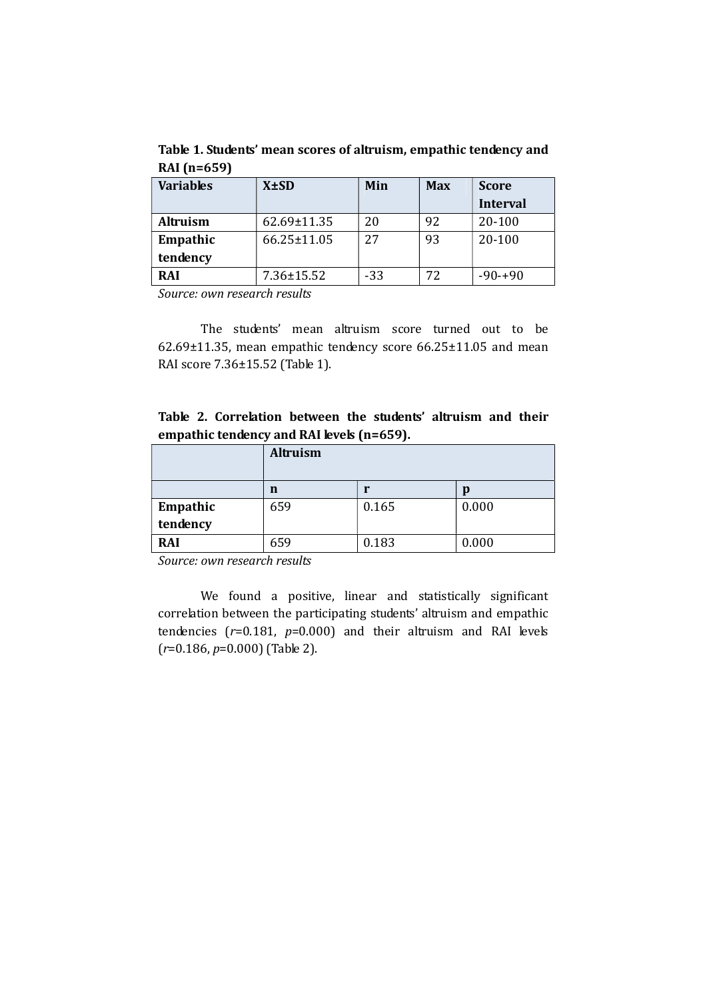Table 1. Students' mean scores of altruism, empathic tendency and RAI (n=659)

| <b>Variables</b> | $X \pm SD$        | Min   | <b>Max</b> | <b>Score</b>    |
|------------------|-------------------|-------|------------|-----------------|
|                  |                   |       |            | <b>Interval</b> |
| <b>Altruism</b>  | 62.69±11.35       | 20    | 92         | 20-100          |
| Empathic         | $66.25 \pm 11.05$ | 27    | 93         | 20-100          |
| tendency         |                   |       |            |                 |
| <b>RAI</b>       | $7.36 \pm 15.52$  | $-33$ | 72         | $-90-+90$       |

Source: own research results

The students' mean altruism score turned out to be 62.69±11.35, mean empathic tendency score 66.25±11.05 and mean RAI score 7.36±15.52 (Table 1).

Table 2. Correlation between the students' altruism and their empathic tendency and RAI levels (n=659).

|            | Altruism |       |       |
|------------|----------|-------|-------|
|            | n        |       | p     |
| Empathic   | 659      | 0.165 | 0.000 |
| tendency   |          |       |       |
| <b>RAI</b> | 659      | 0.183 | 0.000 |

Source: own research results

We found a positive, linear and statistically significant correlation between the participating students' altruism and empathic tendencies  $(r=0.181, p=0.000)$  and their altruism and RAI levels  $(r=0.186, p=0.000)$  (Table 2).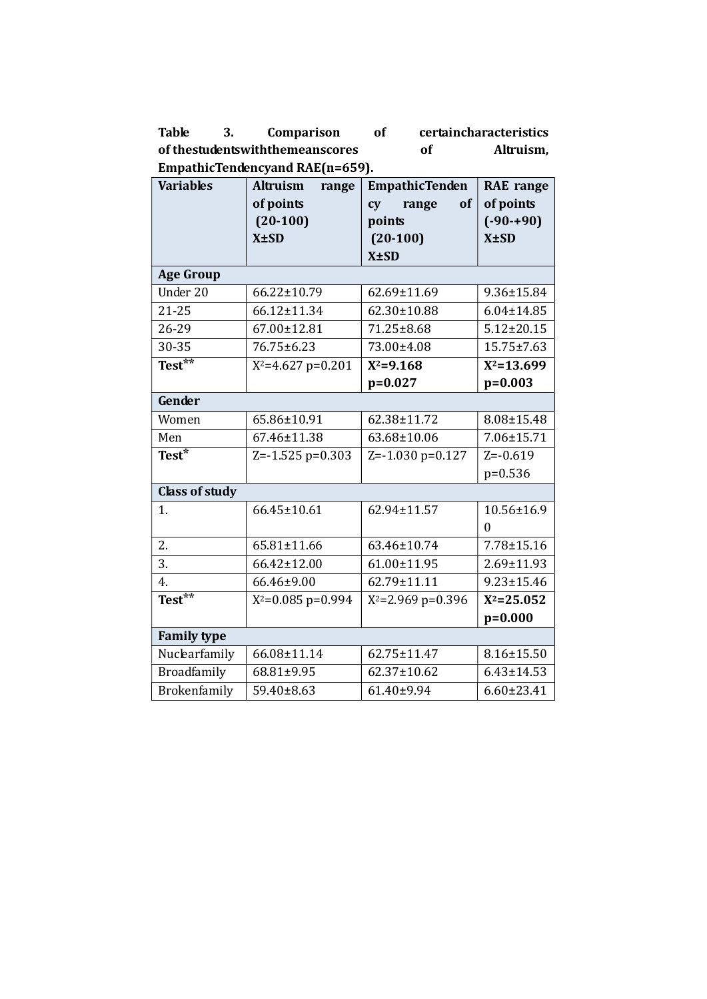Table 3. Comparison of certaincharacteristics of thestudentswiththemeanscores of Altruism, EmpathicTendencyand RAE(n=659).

| <b>Variables</b>      | <b>Altruism</b><br>range | <b>EmpathicTenden</b> | <b>RAE</b> range |
|-----------------------|--------------------------|-----------------------|------------------|
|                       | of points                | range<br>of<br>cy     | of points        |
|                       | $(20-100)$               | points                | $(-90-+90)$      |
|                       | $X \pm SD$               | $(20-100)$            | $X \pm SD$       |
|                       |                          | $X \pm SD$            |                  |
| <b>Age Group</b>      |                          |                       |                  |
| Under 20              | 66.22±10.79              | 62.69±11.69           | 9.36±15.84       |
| $21 - 25$             | 66.12±11.34              | 62.30±10.88           | $6.04 \pm 14.85$ |
| 26-29                 | 67.00±12.81              | 71.25±8.68            | $5.12 \pm 20.15$ |
| 30-35                 | 76.75±6.23               | 73.00±4.08            | 15.75±7.63       |
| Test**                | $X^2 = 4.627$ p=0.201    | $X^2 = 9.168$         | $X^2 = 13.699$   |
|                       |                          | $p=0.027$             | $p=0.003$        |
| Gender                |                          |                       |                  |
| Women                 | 65.86±10.91              | 62.38±11.72           | 8.08±15.48       |
| Men                   | 67.46±11.38              | 63.68±10.06           | 7.06±15.71       |
| Test*                 | $Z = -1.525$ p=0.303     | $Z = -1.030$ p=0.127  | $Z = -0.619$     |
|                       |                          |                       | $p=0.536$        |
| <b>Class of study</b> |                          |                       |                  |
| 1.                    | 66.45±10.61              | 62.94±11.57           | 10.56±16.9       |
|                       |                          |                       | $\theta$         |
| 2.                    | 65.81±11.66              | 63.46±10.74           | 7.78±15.16       |
| 3.                    | 66.42±12.00              | 61.00±11.95           | 2.69±11.93       |
| 4.                    | 66.46±9.00               | 62.79±11.11           | $9.23 \pm 15.46$ |
| Test $*$              | $X^2=0.085$ p=0.994      | $X^2 = 2.969$ p=0.396 | $X^2 = 25.052$   |
|                       |                          |                       | $p=0.000$        |
| <b>Family type</b>    |                          |                       |                  |
| Nuclearfamily         | 66.08±11.14              | 62.75±11.47           | 8.16±15.50       |
| Broadfamily           | 68.81±9.95               | 62.37±10.62           | $6.43 \pm 14.53$ |
| Brokenfamily          | 59.40±8.63               | 61.40±9.94            | $6.60 \pm 23.41$ |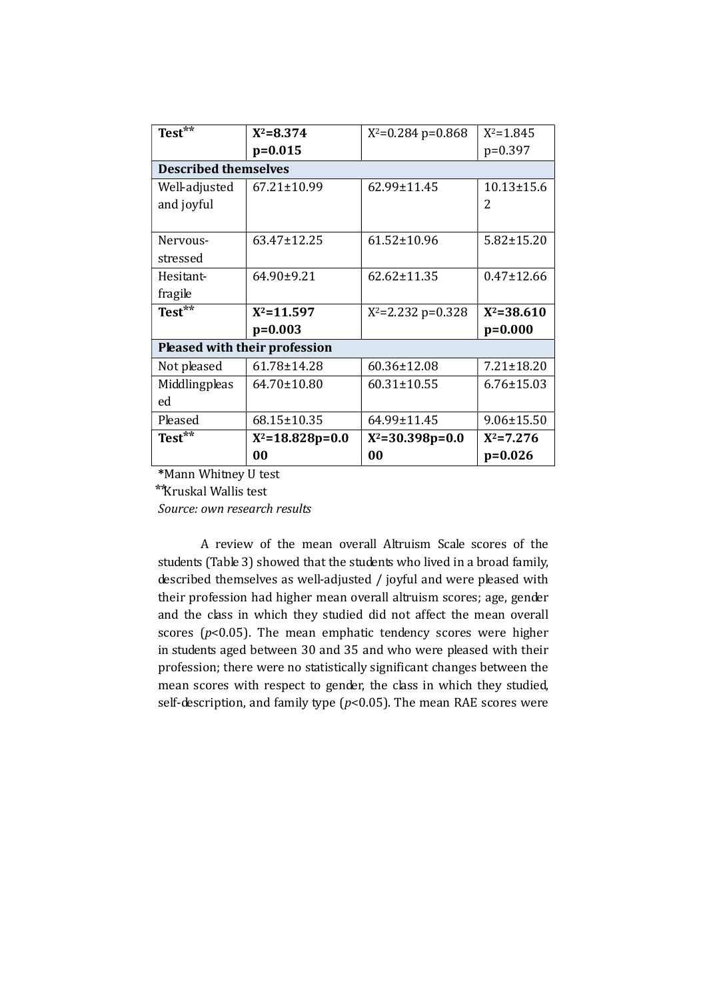| Test $\overline{ }$ **        | $X^2 = 8.374$         | $X^2=0.284$ p=0.868   | $X^2 = 1.845$    |  |  |  |
|-------------------------------|-----------------------|-----------------------|------------------|--|--|--|
|                               | $p=0.015$             |                       | $p=0.397$        |  |  |  |
| <b>Described themselves</b>   |                       |                       |                  |  |  |  |
| Well-adjusted                 | 67.21±10.99           | $62.99 \pm 11.45$     | $10.13 \pm 15.6$ |  |  |  |
| and joyful                    |                       |                       | 2                |  |  |  |
|                               |                       |                       |                  |  |  |  |
| Nervous-                      | 63.47±12.25           | $61.52 \pm 10.96$     | $5.82 \pm 15.20$ |  |  |  |
| stressed                      |                       |                       |                  |  |  |  |
| <b>Hesitant-</b>              | 64.90±9.21            | $62.62 \pm 11.35$     | $0.47 \pm 12.66$ |  |  |  |
| fragile                       |                       |                       |                  |  |  |  |
| Test**                        | $X^2 = 11.597$        | $X^2 = 2.232$ p=0.328 | $X^2 = 38.610$   |  |  |  |
|                               | $p=0.003$             |                       | $p=0.000$        |  |  |  |
| Pleased with their profession |                       |                       |                  |  |  |  |
| Not pleased                   | 61.78±14.28           | 60.36±12.08           | $7.21 \pm 18.20$ |  |  |  |
| Middlingpleas                 | 64.70±10.80           | $60.31 \pm 10.55$     | $6.76 \pm 15.03$ |  |  |  |
| ed                            |                       |                       |                  |  |  |  |
| Pleased                       | 68.15±10.35           | 64.99±11.45           | $9.06 \pm 15.50$ |  |  |  |
| Test**                        | $X^2 = 18.828p = 0.0$ | $X^2 = 30.398p = 0.0$ | $X^2 = 7.276$    |  |  |  |
|                               | 00                    | 00                    | $p=0.026$        |  |  |  |

\*Mann Whitney U test

⃰ ⃰Kruskal Wallis test

Source: own research results

A review of the mean overall Altruism Scale scores of the students (Table 3) showed that the students who lived in a broad family, described themselves as well-adjusted / joyful and were pleased with their profession had higher mean overall altruism scores; age, gender and the class in which they studied did not affect the mean overall scores ( $p$ <0.05). The mean emphatic tendency scores were higher in students aged between 30 and 35 and who were pleased with their profession; there were no statistically significant changes between the mean scores with respect to gender, the class in which they studied, self-description, and family type  $(p<0.05)$ . The mean RAE scores were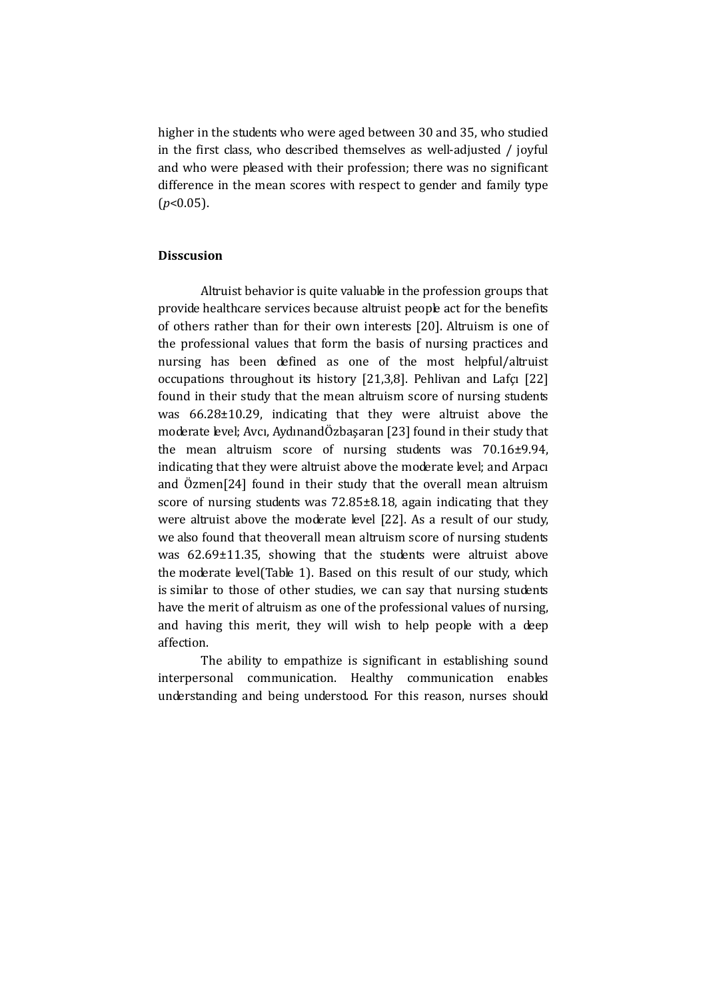higher in the students who were aged between 30 and 35, who studied in the first class, who described themselves as well-adjusted / joyful and who were pleased with their profession; there was no significant difference in the mean scores with respect to gender and family type  $(p<0.05)$ .

## Disscusion

Altruist behavior is quite valuable in the profession groups that provide healthcare services because altruist people act for the benefits of others rather than for their own interests [20]. Altruism is one of the professional values that form the basis of nursing practices and nursing has been defined as one of the most helpful/altruist occupations throughout its history [21,3,8]. Pehlivan and Lafçı [22] found in their study that the mean altruism score of nursing students was 66.28±10.29, indicating that they were altruist above the moderate level; Avcı, AydınandÖzbaşaran [23] found in their study that the mean altruism score of nursing students was 70.16±9.94, indicating that they were altruist above the moderate level; and Arpacı and Özmen[24] found in their study that the overall mean altruism score of nursing students was 72.85±8.18, again indicating that they were altruist above the moderate level [22]. As a result of our study, we also found that theoverall mean altruism score of nursing students was 62.69±11.35, showing that the students were altruist above the moderate level(Table 1). Based on this result of our study, which is similar to those of other studies, we can say that nursing students have the merit of altruism as one of the professional values of nursing, and having this merit, they will wish to help people with a deep affection.

The ability to empathize is significant in establishing sound interpersonal communication. Healthy communication enables understanding and being understood. For this reason, nurses should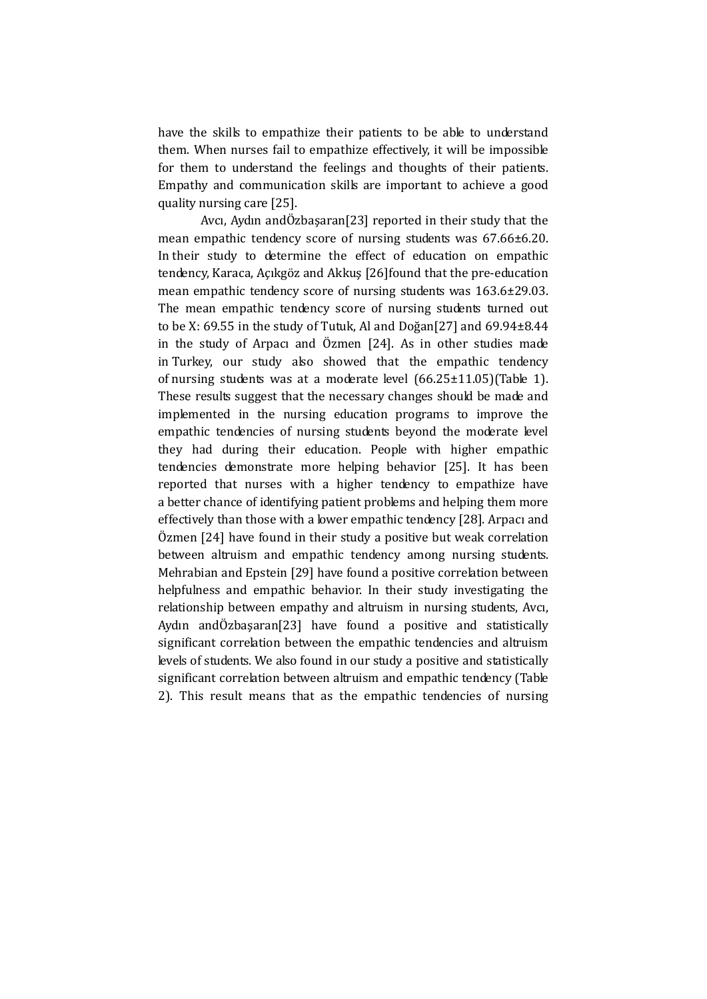have the skills to empathize their patients to be able to understand them. When nurses fail to empathize effectively, it will be impossible for them to understand the feelings and thoughts of their patients. Empathy and communication skills are important to achieve a good quality nursing care [25].

Avcı, Aydın andÖzbaşaran[23] reported in their study that the mean empathic tendency score of nursing students was 67.66±6.20. In their study to determine the effect of education on empathic tendency, Karaca, Açıkgöz and Akkuş [26]found that the pre-education mean empathic tendency score of nursing students was 163.6±29.03. The mean empathic tendency score of nursing students turned out to be X: 69.55 in the study of Tutuk, Al and Doğan[27] and 69.94±8.44 in the study of Arpacı and Özmen [24]. As in other studies made in Turkey, our study also showed that the empathic tendency of nursing students was at a moderate level (66.25±11.05)(Table 1). These results suggest that the necessary changes should be made and implemented in the nursing education programs to improve the empathic tendencies of nursing students beyond the moderate level they had during their education. People with higher empathic tendencies demonstrate more helping behavior [25]. It has been reported that nurses with a higher tendency to empathize have a better chance of identifying patient problems and helping them more effectively than those with a lower empathic tendency [28]. Arpacı and Özmen [24] have found in their study a positive but weak correlation between altruism and empathic tendency among nursing students. Mehrabian and Epstein [29] have found a positive correlation between helpfulness and empathic behavior. In their study investigating the relationship between empathy and altruism in nursing students, Avcı, Aydın andÖzbaşaran[23] have found a positive and statistically significant correlation between the empathic tendencies and altruism levels of students. We also found in our study a positive and statistically significant correlation between altruism and empathic tendency (Table 2). This result means that as the empathic tendencies of nursing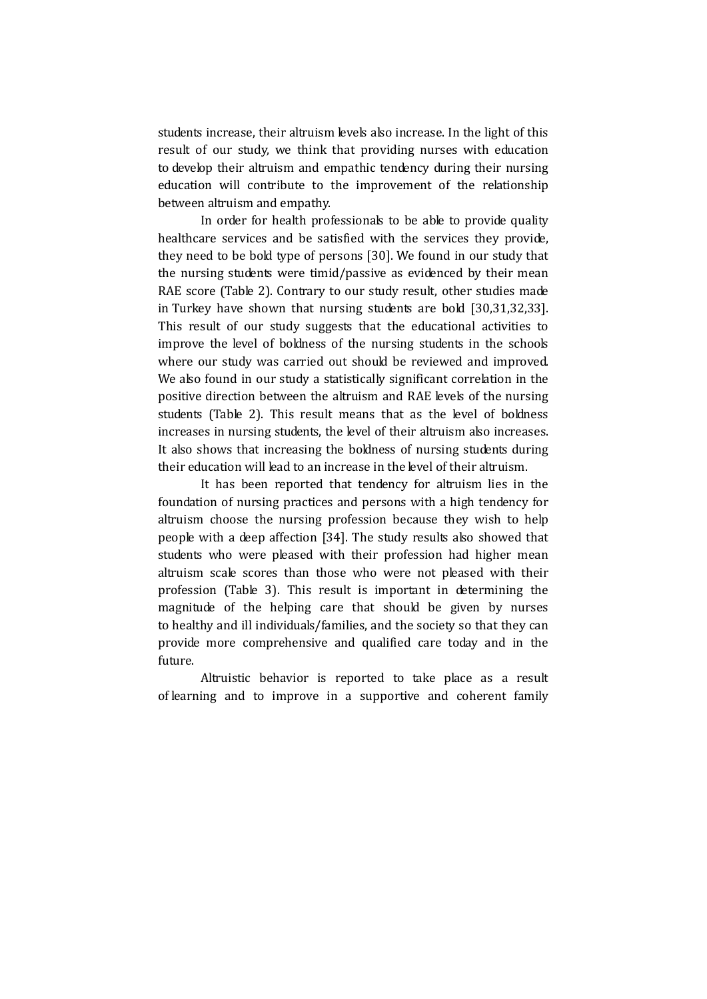students increase, their altruism levels also increase. In the light of this result of our study, we think that providing nurses with education to develop their altruism and empathic tendency during their nursing education will contribute to the improvement of the relationship between altruism and empathy.

In order for health professionals to be able to provide quality healthcare services and be satisfied with the services they provide, they need to be bold type of persons [30]. We found in our study that the nursing students were timid/passive as evidenced by their mean RAE score (Table 2). Contrary to our study result, other studies made in Turkey have shown that nursing students are bold [30,31,32,33]. This result of our study suggests that the educational activities to improve the level of boldness of the nursing students in the schools where our study was carried out should be reviewed and improved. We also found in our study a statistically significant correlation in the positive direction between the altruism and RAE levels of the nursing students (Table 2). This result means that as the level of boldness increases in nursing students, the level of their altruism also increases. It also shows that increasing the boldness of nursing students during their education will lead to an increase in the level of their altruism.

It has been reported that tendency for altruism lies in the foundation of nursing practices and persons with a high tendency for altruism choose the nursing profession because they wish to help people with a deep affection [34]. The study results also showed that students who were pleased with their profession had higher mean altruism scale scores than those who were not pleased with their profession (Table 3). This result is important in determining the magnitude of the helping care that should be given by nurses to healthy and ill individuals/families, and the society so that they can provide more comprehensive and qualified care today and in the future.

Altruistic behavior is reported to take place as a result of learning and to improve in a supportive and coherent family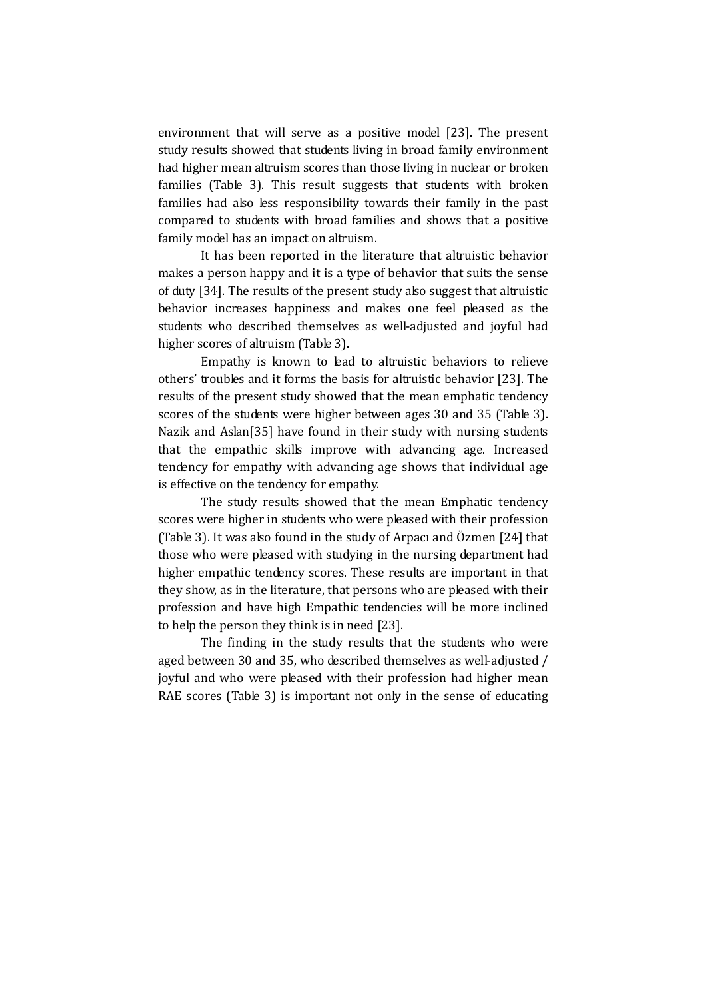environment that will serve as a positive model [23]. The present study results showed that students living in broad family environment had higher mean altruism scores than those living in nuclear or broken families (Table 3). This result suggests that students with broken families had also less responsibility towards their family in the past compared to students with broad families and shows that a positive family model has an impact on altruism.

It has been reported in the literature that altruistic behavior makes a person happy and it is a type of behavior that suits the sense of duty [34]. The results of the present study also suggest that altruistic behavior increases happiness and makes one feel pleased as the students who described themselves as well-adjusted and joyful had higher scores of altruism (Table 3).

Empathy is known to lead to altruistic behaviors to relieve others' troubles and it forms the basis for altruistic behavior [23]. The results of the present study showed that the mean emphatic tendency scores of the students were higher between ages 30 and 35 (Table 3). Nazik and Aslan[35] have found in their study with nursing students that the empathic skills improve with advancing age. Increased tendency for empathy with advancing age shows that individual age is effective on the tendency for empathy.

The study results showed that the mean Emphatic tendency scores were higher in students who were pleased with their profession (Table 3). It was also found in the study of Arpacı and Özmen [24] that those who were pleased with studying in the nursing department had higher empathic tendency scores. These results are important in that they show, as in the literature, that persons who are pleased with their profession and have high Empathic tendencies will be more inclined to help the person they think is in need [23].

The finding in the study results that the students who were aged between 30 and 35, who described themselves as well-adjusted / joyful and who were pleased with their profession had higher mean RAE scores (Table 3) is important not only in the sense of educating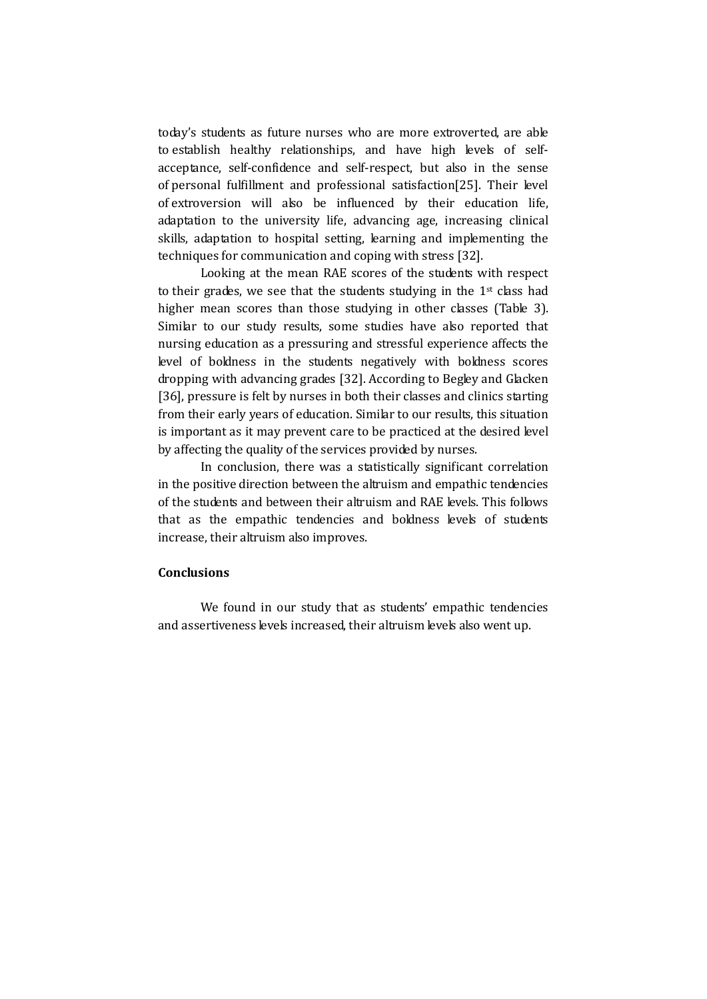today's students as future nurses who are more extroverted, are able to establish healthy relationships, and have high levels of selfacceptance, self-confidence and self-respect, but also in the sense of personal fulfillment and professional satisfaction[25]. Their level of extroversion will also be influenced by their education life, adaptation to the university life, advancing age, increasing clinical skills, adaptation to hospital setting, learning and implementing the techniques for communication and coping with stress [32].

Looking at the mean RAE scores of the students with respect to their grades, we see that the students studying in the 1st class had higher mean scores than those studying in other classes (Table 3). Similar to our study results, some studies have also reported that nursing education as a pressuring and stressful experience affects the level of boldness in the students negatively with boldness scores dropping with advancing grades [32]. According to Begley and Glacken [36], pressure is felt by nurses in both their classes and clinics starting from their early years of education. Similar to our results, this situation is important as it may prevent care to be practiced at the desired level by affecting the quality of the services provided by nurses.

In conclusion, there was a statistically significant correlation in the positive direction between the altruism and empathic tendencies of the students and between their altruism and RAE levels. This follows that as the empathic tendencies and boldness levels of students increase, their altruism also improves.

#### **Conclusions**

We found in our study that as students' empathic tendencies and assertiveness levels increased, their altruism levels also went up.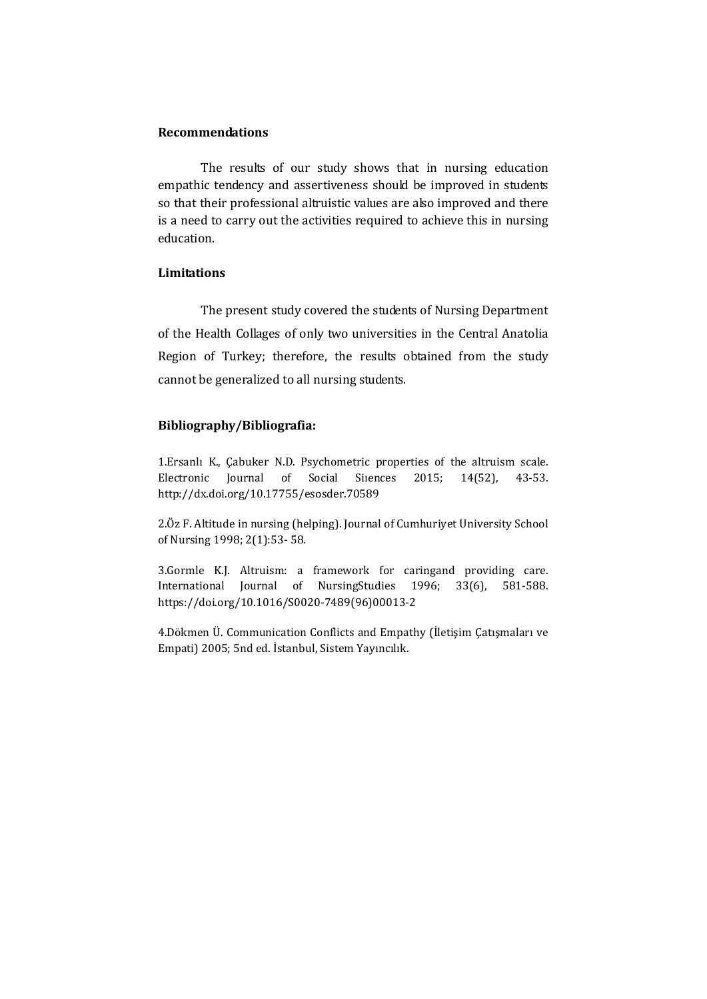## Recommendations

The results of our study shows that in nursing education empathic tendency and assertiveness should be improved in students so that their professional altruistic values are also improved and there is a need to carry out the activities required to achieve this in nursing education.

## Limitations

The present study covered the students of Nursing Department of the Health Collages of only two universities in the Central Anatolia Region of Turkey; therefore, the results obtained from the study cannot be generalized to all nursing students.

## Bibliography/Bibliografia:

1.Ersanlı K., Çabuker N.D. Psychometric properties of the altruism scale. Electronic Journal of Social Siıences 2015; 14(52), 43-53. http://dx.doi.org/10.17755/esosder.70589

2.Öz F. Altitude in nursing (helping). Journal of Cumhuriyet University School of Nursing 1998; 2(1):53- 58.

3.Gormle K.J. Altruism: a framework for caringand providing care. International Journal of NursingStudies 1996; 33(6), 581-588. https://doi.org/10.1016/S0020-7489(96)00013-2

4.Dökmen Ü. Communication Conflicts and Empathy (İletişim Çatışmaları ve Empati) 2005; 5nd ed. İstanbul, Sistem Yayıncılık.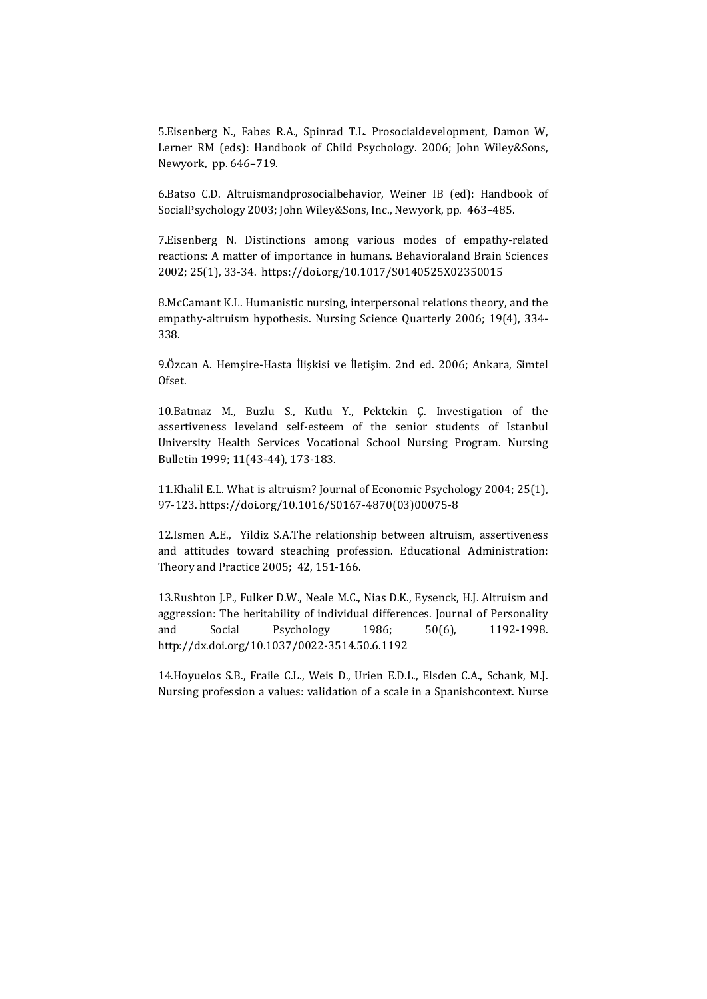5.Eisenberg N., Fabes R.A., Spinrad T.L. Prosocialdevelopment, Damon W, Lerner RM (eds): Handbook of Child Psychology. 2006; John Wiley&Sons, Newyork, pp. 646–719.

6.Batso C.D. Altruismandprosocialbehavior, Weiner IB (ed): Handbook of SocialPsychology 2003; John Wiley&Sons, Inc., Newyork, pp. 463–485.

7.Eisenberg N. Distinctions among various modes of empathy-related reactions: A matter of importance in humans. Behavioraland Brain Sciences 2002; 25(1), 33-34. https://doi.org/10.1017/S0140525X02350015

8.McCamant K.L. Humanistic nursing, interpersonal relations theory, and the empathy-altruism hypothesis. Nursing Science Quarterly 2006; 19(4), 334- 338.

9.Özcan A. Hemşire-Hasta İlişkisi ve İletişim. 2nd ed. 2006; Ankara, Simtel Ofset.

10.Batmaz M., Buzlu S., Kutlu Y., Pektekin Ç. Investigation of the assertiveness leveland self-esteem of the senior students of Istanbul University Health Services Vocational School Nursing Program. Nursing Bulletin 1999; 11(43-44), 173-183.

11.Khalil E.L. What is altruism? Journal of Economic Psychology 2004; 25(1), 97-123. https://doi.org/10.1016/S0167-4870(03)00075-8

12.Ismen A.E., Yildiz S.A.The relationship between altruism, assertiveness and attitudes toward steaching profession. Educational Administration: Theory and Practice 2005; 42, 151-166.

13.Rushton J.P., Fulker D.W., Neale M.C., Nias D.K., Eysenck, H.J. Altruism and aggression: The heritability of individual differences. Journal of Personality and Social Psychology 1986; 50(6), 1192-1998. http://dx.doi.org/10.1037/0022-3514.50.6.1192

14.Hoyuelos S.B., Fraile C.L., Weis D., Urien E.D.L., Elsden C.A., Schank, M.J. Nursing profession a values: validation of a scale in a Spanishcontext. Nurse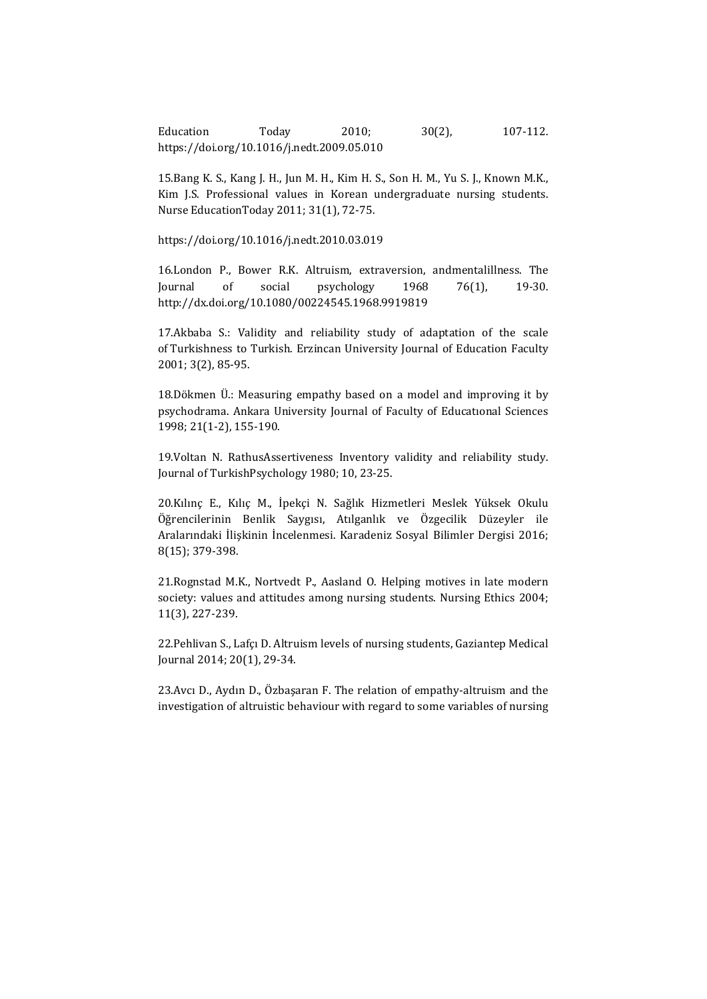Education Today 2010; 30(2), 107-112. https://doi.org/10.1016/j.nedt.2009.05.010

15.Bang K. S., Kang J. H., Jun M. H., Kim H. S., Son H. M., Yu S. J., Known M.K., Kim J.S. Professional values in Korean undergraduate nursing students. Nurse EducationToday 2011; 31(1), 72-75.

https://doi.org/10.1016/j.nedt.2010.03.019

16.London P., Bower R.K. Altruism, extraversion, andmentalillness. The Journal of social psychology 1968 76(1), 19-30. http://dx.doi.org/10.1080/00224545.1968.9919819

17.Akbaba S.: Validity and reliability study of adaptation of the scale of Turkishness to Turkish. Erzincan University Journal of Education Faculty 2001; 3(2), 85-95.

18.Dökmen Ü.: Measuring empathy based on a model and improving it by psychodrama. Ankara University Journal of Faculty of Educatıonal Sciences 1998; 21(1-2), 155-190.

19.Voltan N. RathusAssertiveness Inventory validity and reliability study. Journal of TurkishPsychology 1980; 10, 23-25.

20.Kılınç E., Kılıç M., İpekçi N. Sağlık Hizmetleri Meslek Yüksek Okulu Öğrencilerinin Benlik Saygısı, Atılganlık ve Özgecilik Düzeyler ile Aralarındaki İlişkinin İncelenmesi. Karadeniz Sosyal Bilimler Dergisi 2016; 8(15); 379-398.

21.Rognstad M.K., Nortvedt P., Aasland O. Helping motives in late modern society: values and attitudes among nursing students. Nursing Ethics 2004; 11(3), 227-239.

22.Pehlivan S., Lafçı D. Altruism levels of nursing students, Gaziantep Medical Journal 2014; 20(1), 29-34.

23.Avcı D., Aydın D., Özbaşaran F. The relation of empathy-altruism and the investigation of altruistic behaviour with regard to some variables of nursing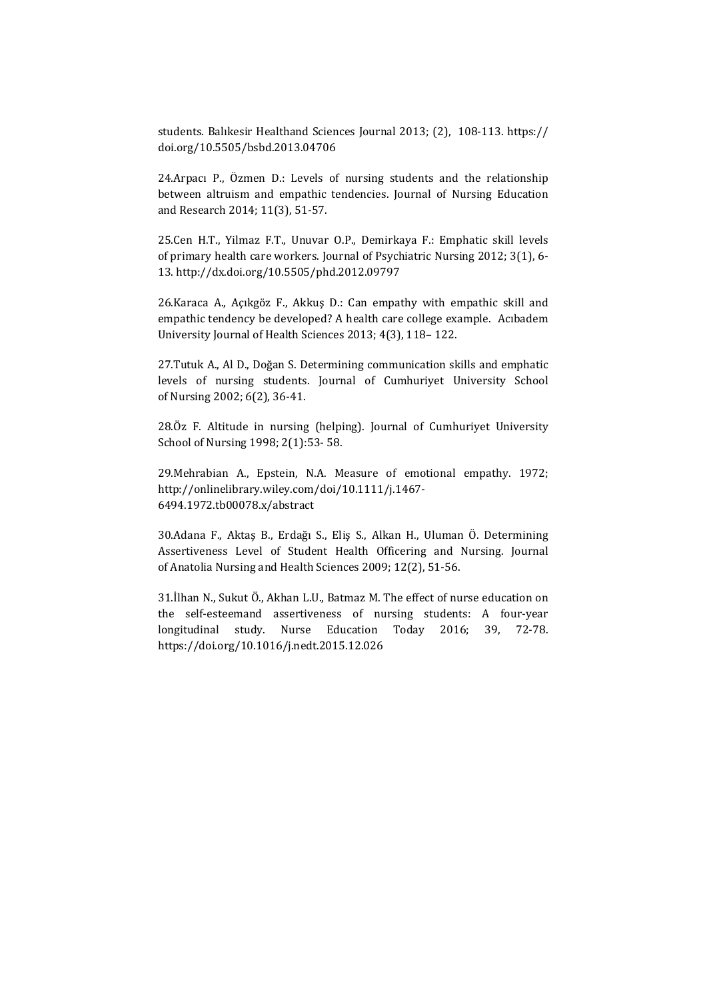students. Balıkesir Healthand Sciences Journal 2013; (2), 108-113. https:// doi.org/10.5505/bsbd.2013.04706

24.Arpacı P., Özmen D.: Levels of nursing students and the relationship between altruism and empathic tendencies. Journal of Nursing Education and Research 2014; 11(3), 51-57.

25.Cen H.T., Yilmaz F.T., Unuvar O.P., Demirkaya F.: Emphatic skill levels of primary health care workers. Journal of Psychiatric Nursing 2012; 3(1), 6- 13. http://dx.doi.org/10.5505/phd.2012.09797

26.Karaca A., Açıkgöz F., Akkuş D.: Can empathy with empathic skill and empathic tendency be developed? A health care college example. Acıbadem University Journal of Health Sciences 2013; 4(3), 118– 122.

27.Tutuk A., Al D., Doğan S. Determining communication skills and emphatic levels of nursing students. Journal of Cumhuriyet University School of Nursing 2002; 6(2), 36-41.

28.Öz F. Altitude in nursing (helping). Journal of Cumhuriyet University School of Nursing 1998; 2(1):53- 58.

29.Mehrabian A., Epstein, N.A. Measure of emotional empathy. 1972; http://onlinelibrary.wiley.com/doi/10.1111/j.1467- 6494.1972.tb00078.x/abstract

30.Adana F., Aktaş B., Erdağı S., Eliş S., Alkan H., Uluman Ö. Determining Assertiveness Level of Student Health Officering and Nursing. Journal of Anatolia Nursing and Health Sciences 2009; 12(2), 51-56.

31.İlhan N., Sukut Ö., Akhan L.U., Batmaz M. The effect of nurse education on the self-esteemand assertiveness of nursing students: A four-year longitudinal study. Nurse Education Today 2016; 39, 72-78. https://doi.org/10.1016/j.nedt.2015.12.026